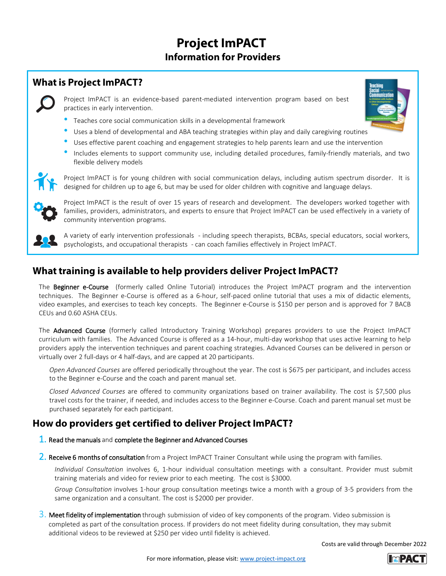## **Project ImPACT Information for Providers**

## **What is Project ImPACT?**

Project ImPACT is an evidence-based parent-mediated intervention program based on best practices in early intervention.



- Teaches core social communication skills in <sup>a</sup> developmental framework
- Uses <sup>a</sup> blend of developmental and ABA teaching strategies within play and daily caregiving routines
- Uses effective parent coaching and engagement strategies to help parents learn and use the intervention
- Includes elements to support community use, including detailed procedures, family-friendly materials, and two flexible delivery models



Project ImPACT is for young children with social communication delays, including autism spectrum disorder. It is designed for children up to age 6, but may be used for older children with cognitive and language delays.



Project ImPACT is the result of over 15 years of research and development. The developers worked together with families, providers, administrators, and experts to ensure that Project ImPACT can be used effectively in a variety of community intervention programs.



A variety of early intervention professionals - including speech therapists, BCBAs, special educators, social workers, psychologists, and occupational therapists - can coach families effectively in Project ImPACT.

## **What training is available to help providers deliver Project ImPACT?**

The Beginner e-Course (formerly called Online Tutorial) introduces the Project ImPACT program and the intervention techniques. The Beginner e-Course is offered as a 6-hour, self-paced online tutorial that uses a mix of didactic elements, video examples, and exercises to teach key concepts. The Beginner e-Course is \$150 per person and is approved for 7 BACB CEUs and 0.60 ASHA CEUs.

The Advanced Course (formerly called Introductory Training Workshop) prepares providers to use the Project ImPACT curriculum with families. The Advanced Course is offered as a 14-hour, multi-day workshop that uses active learning to help providers apply the intervention techniques and parent coaching strategies. Advanced Courses can be delivered in person or virtually over 2 full-days or 4 half-days, and are capped at 20 participants.

*Open Advanced Courses* are offered periodically throughout the year. The cost is \$675 per participant, and includes access to the Beginner e-Course and the coach and parent manual set.

*Closed Advanced Courses* are offered to community organizations based on trainer availability. The cost is \$7,500 plus travel costs for the trainer, if needed, and includes access to the Beginner e-Course. Coach and parent manual set must be purchased separately for each participant.

## **How do providers get certified to deliver Project ImPACT?**

- 1. Read the manuals and complete the Beginner and Advanced Courses
- 2. Receive 6 months of consultation from a Project ImPACT Trainer Consultant while using the program with families.

*Individual Consultation* involves 6, 1-hour individual consultation meetings with a consultant. Provider must submit training materials and video for review prior to each meeting. The cost is \$3000.

*Group Consultation* involves 1-hour group consultation meetings twice a month with a group of 3-5 providers from the same organization and a consultant. The cost is \$2000 per provider.

 $3.$  Meet fidelity of implementation through submission of video of key components of the program. Video submission is completed as part of the consultation process. If providers do not meet fidelity during consultation, they may submit additional videos to be reviewed at \$250 per video until fidelity is achieved.

Costs are valid through December 2022